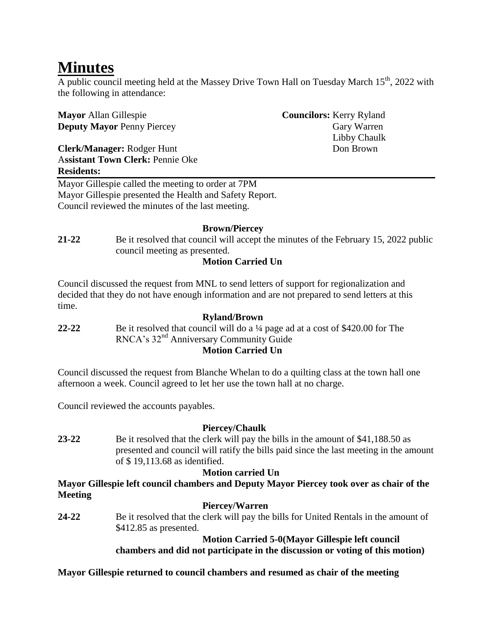# **Minutes**

A public council meeting held at the Massey Drive Town Hall on Tuesday March  $15<sup>th</sup>$ , 2022 with the following in attendance:

| <b>Mayor</b> Allan Gillespie            | <b>Councilors:</b> Kerry Ryland |
|-----------------------------------------|---------------------------------|
| <b>Deputy Mayor Penny Piercey</b>       | Gary Warren                     |
|                                         | Libby Chaulk                    |
| <b>Clerk/Manager: Rodger Hunt</b>       | Don Brown                       |
| <b>Assistant Town Clerk: Pennie Oke</b> |                                 |
| <b>Residents:</b>                       |                                 |

Mayor Gillespie called the meeting to order at 7PM Mayor Gillespie presented the Health and Safety Report. Council reviewed the minutes of the last meeting.

#### **Brown/Piercey**

**21-22** Be it resolved that council will accept the minutes of the February 15, 2022 public council meeting as presented.

#### **Motion Carried Un**

Council discussed the request from MNL to send letters of support for regionalization and decided that they do not have enough information and are not prepared to send letters at this time.

#### **Ryland/Brown 22-22** Be it resolved that council will do a ¼ page ad at a cost of \$420.00 for The RNCA's 32nd Anniversary Community Guide **Motion Carried Un**

Council discussed the request from Blanche Whelan to do a quilting class at the town hall one afternoon a week. Council agreed to let her use the town hall at no charge.

Council reviewed the accounts payables.

#### **Piercey/Chaulk**

**23-22** Be it resolved that the clerk will pay the bills in the amount of \$41,188.50 as presented and council will ratify the bills paid since the last meeting in the amount of \$ 19,113.68 as identified.

## **Motion carried Un**

**Mayor Gillespie left council chambers and Deputy Mayor Piercey took over as chair of the Meeting**

#### **Piercey/Warren**

**24-22** Be it resolved that the clerk will pay the bills for United Rentals in the amount of \$412.85 as presented.

**Motion Carried 5-0(Mayor Gillespie left council** 

**chambers and did not participate in the discussion or voting of this motion)**

**Mayor Gillespie returned to council chambers and resumed as chair of the meeting**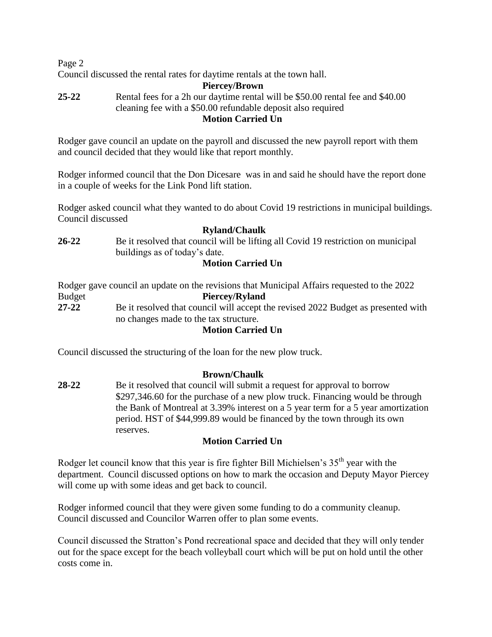Page 2

Council discussed the rental rates for daytime rentals at the town hall.

#### **Piercey/Brown 25-22** Rental fees for a 2h our daytime rental will be \$50.00 rental fee and \$40.00 cleaning fee with a \$50.00 refundable deposit also required **Motion Carried Un**

Rodger gave council an update on the payroll and discussed the new payroll report with them and council decided that they would like that report monthly.

Rodger informed council that the Don Dicesare was in and said he should have the report done in a couple of weeks for the Link Pond lift station.

Rodger asked council what they wanted to do about Covid 19 restrictions in municipal buildings. Council discussed

#### **Ryland/Chaulk**

**26-22** Be it resolved that council will be lifting all Covid 19 restriction on municipal buildings as of today's date.

## **Motion Carried Un**

Rodger gave council an update on the revisions that Municipal Affairs requested to the 2022 Budget **Piercey/Ryland 27-22** Be it resolved that council will accept the revised 2022 Budget as presented with no changes made to the tax structure.

#### **Motion Carried Un**

Council discussed the structuring of the loan for the new plow truck.

## **Brown/Chaulk**

**28-22** Be it resolved that council will submit a request for approval to borrow \$297,346.60 for the purchase of a new plow truck. Financing would be through the Bank of Montreal at 3.39% interest on a 5 year term for a 5 year amortization period. HST of \$44,999.89 would be financed by the town through its own reserves.

## **Motion Carried Un**

Rodger let council know that this year is fire fighter Bill Michielsen's  $35<sup>th</sup>$  year with the department. Council discussed options on how to mark the occasion and Deputy Mayor Piercey will come up with some ideas and get back to council.

Rodger informed council that they were given some funding to do a community cleanup. Council discussed and Councilor Warren offer to plan some events.

Council discussed the Stratton's Pond recreational space and decided that they will only tender out for the space except for the beach volleyball court which will be put on hold until the other costs come in.